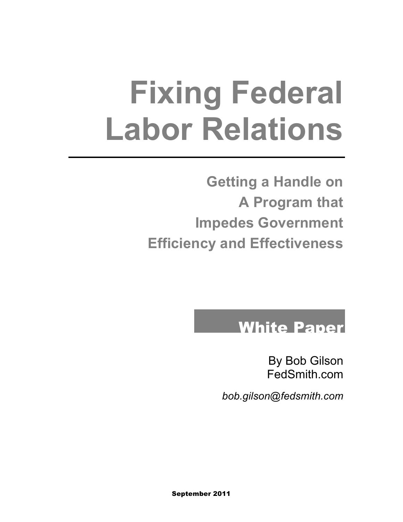# **Fixing Federal Labor Relations**

**Getting a Handle on A Program that Impedes Government Efficiency and Effectiveness**

#### White Paper

By Bob Gilson FedSmith.com

*bob.gilson@fedsmith.com*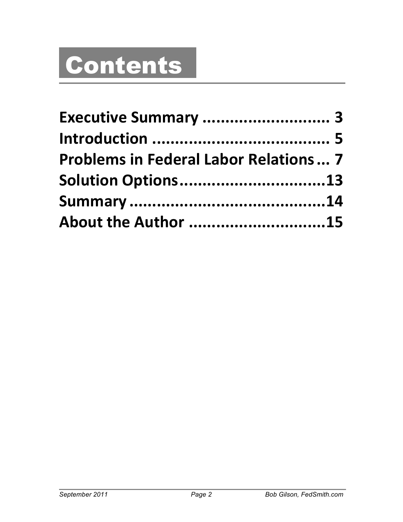## Contents

| Executive Summary  3<br><b>Problems in Federal Labor Relations 7</b><br>Solution Options13 |  |  |
|--------------------------------------------------------------------------------------------|--|--|
|                                                                                            |  |  |
|                                                                                            |  |  |
|                                                                                            |  |  |
|                                                                                            |  |  |
| About the Author 15                                                                        |  |  |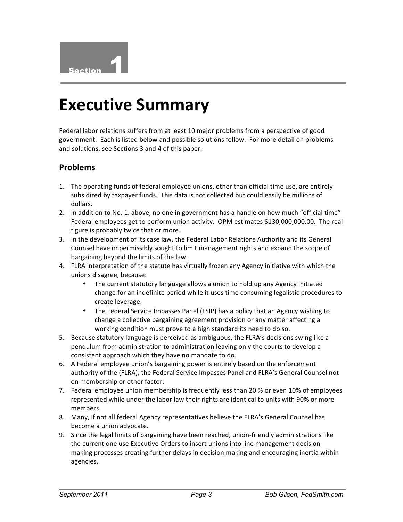

#### **Executive Summary**

Federal labor relations suffers from at least 10 major problems from a perspective of good government. Each is listed below and possible solutions follow. For more detail on problems and solutions, see Sections 3 and 4 of this paper.

#### **Problems**

- 1. The operating funds of federal employee unions, other than official time use, are entirely subsidized by taxpayer funds. This data is not collected but could easily be millions of dollars.
- 2. In addition to No. 1. above, no one in government has a handle on how much "official time" Federal employees get to perform union activity. OPM estimates \$130,000,000.00. The real figure is probably twice that or more.
- 3. In the development of its case law, the Federal Labor Relations Authority and its General Counsel have impermissibly sought to limit management rights and expand the scope of bargaining beyond the limits of the law.
- 4. FLRA interpretation of the statute has virtually frozen any Agency initiative with which the unions disagree, because:
	- The current statutory language allows a union to hold up any Agency initiated change for an indefinite period while it uses time consuming legalistic procedures to create leverage.
	- The Federal Service Impasses Panel (FSIP) has a policy that an Agency wishing to change a collective bargaining agreement provision or any matter affecting a working condition must prove to a high standard its need to do so.
- 5. Because statutory language is perceived as ambiguous, the FLRA's decisions swing like a pendulum from administration to administration leaving only the courts to develop a consistent approach which they have no mandate to do.
- 6. A Federal employee union's bargaining power is entirely based on the enforcement authority of the (FLRA), the Federal Service Impasses Panel and FLRA's General Counsel not on membership or other factor.
- 7. Federal employee union membership is frequently less than 20 % or even 10% of employees represented while under the labor law their rights are identical to units with 90% or more members.
- 8. Many, if not all federal Agency representatives believe the FLRA's General Counsel has become a union advocate.
- 9. Since the legal limits of bargaining have been reached, union-friendly administrations like the current one use Executive Orders to insert unions into line management decision making processes creating further delays in decision making and encouraging inertia within agencies.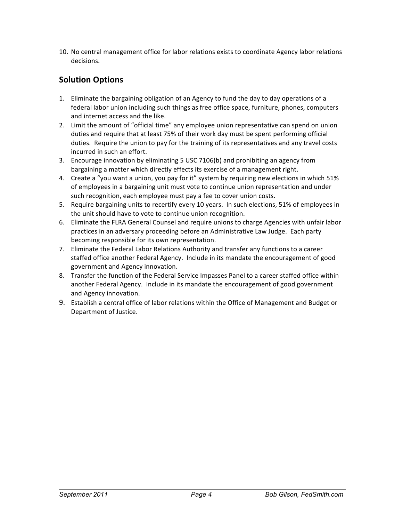10. No central management office for labor relations exists to coordinate Agency labor relations decisions.

#### **Solution Options**

- 1. Eliminate the bargaining obligation of an Agency to fund the day to day operations of a federal labor union including such things as free office space, furniture, phones, computers and internet access and the like.
- 2. Limit the amount of "official time" any employee union representative can spend on union duties and require that at least 75% of their work day must be spent performing official duties. Require the union to pay for the training of its representatives and any travel costs incurred in such an effort.
- 3. Encourage innovation by eliminating  $5$  USC 7106(b) and prohibiting an agency from bargaining a matter which directly effects its exercise of a management right.
- 4. Create a "you want a union, you pay for it" system by requiring new elections in which 51% of employees in a bargaining unit must vote to continue union representation and under such recognition, each employee must pay a fee to cover union costs.
- 5. Require bargaining units to recertify every 10 years. In such elections, 51% of employees in the unit should have to vote to continue union recognition.
- 6. Eliminate the FLRA General Counsel and require unions to charge Agencies with unfair labor practices in an adversary proceeding before an Administrative Law Judge. Each party becoming responsible for its own representation.
- 7. Eliminate the Federal Labor Relations Authority and transfer any functions to a career staffed office another Federal Agency. Include in its mandate the encouragement of good government and Agency innovation.
- 8. Transfer the function of the Federal Service Impasses Panel to a career staffed office within another Federal Agency. Include in its mandate the encouragement of good government and Agency innovation.
- 9. Establish a central office of labor relations within the Office of Management and Budget or Department of Justice.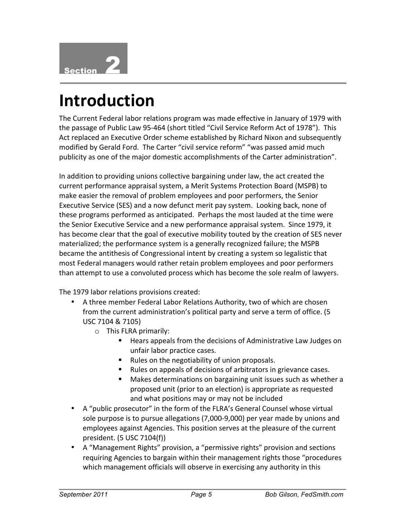

### **Introduction**

The Current Federal labor relations program was made effective in January of 1979 with the passage of Public Law 95-464 (short titled "Civil Service Reform Act of 1978"). This Act replaced an Executive Order scheme established by Richard Nixon and subsequently modified by Gerald Ford. The Carter "civil service reform" "was passed amid much publicity as one of the major domestic accomplishments of the Carter administration".

In addition to providing unions collective bargaining under law, the act created the current performance appraisal system, a Merit Systems Protection Board (MSPB) to make easier the removal of problem employees and poor performers, the Senior Executive Service (SES) and a now defunct merit pay system. Looking back, none of these programs performed as anticipated. Perhaps the most lauded at the time were the Senior Executive Service and a new performance appraisal system. Since 1979, it has become clear that the goal of executive mobility touted by the creation of SES never materialized; the performance system is a generally recognized failure; the MSPB became the antithesis of Congressional intent by creating a system so legalistic that most Federal managers would rather retain problem employees and poor performers than attempt to use a convoluted process which has become the sole realm of lawyers.

The 1979 labor relations provisions created:

- A three member Federal Labor Relations Authority, two of which are chosen from the current administration's political party and serve a term of office. (5 USC 7104 & 7105)
	- $\circ$  This FLRA primarily:
		- **E** Hears appeals from the decisions of Administrative Law Judges on unfair labor practice cases.
		- Rules on the negotiability of union proposals.
		- " Rules on appeals of decisions of arbitrators in grievance cases.
		- Makes determinations on bargaining unit issues such as whether a proposed unit (prior to an election) is appropriate as requested and what positions may or may not be included
- A "public prosecutor" in the form of the FLRA's General Counsel whose virtual sole purpose is to pursue allegations (7,000-9,000) per year made by unions and employees against Agencies. This position serves at the pleasure of the current president. (5 USC 7104(f))
- A "Management Rights" provision, a "permissive rights" provision and sections requiring Agencies to bargain within their management rights those "procedures" which management officials will observe in exercising any authority in this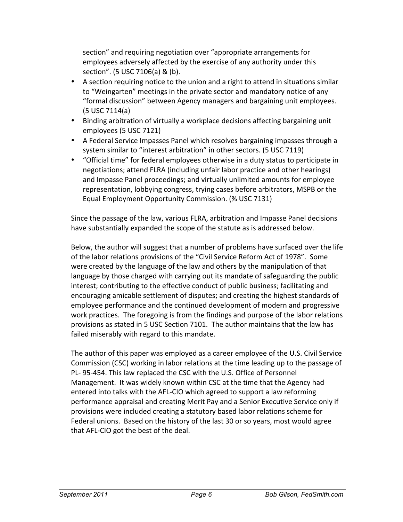section" and requiring negotiation over "appropriate arrangements for employees adversely affected by the exercise of any authority under this section". (5 USC 7106(a) & (b).

- A section requiring notice to the union and a right to attend in situations similar to "Weingarten" meetings in the private sector and mandatory notice of any "formal discussion" between Agency managers and bargaining unit employees. (5 USC 7114(a)
- Binding arbitration of virtually a workplace decisions affecting bargaining unit employees (5 USC 7121)
- A Federal Service Impasses Panel which resolves bargaining impasses through a system similar to "interest arbitration" in other sectors. (5 USC 7119)
- "Official time" for federal employees otherwise in a duty status to participate in negotiations; attend FLRA (including unfair labor practice and other hearings) and Impasse Panel proceedings; and virtually unlimited amounts for employee representation, lobbying congress, trying cases before arbitrators, MSPB or the Equal Employment Opportunity Commission. (% USC 7131)

Since the passage of the law, various FLRA, arbitration and Impasse Panel decisions have substantially expanded the scope of the statute as is addressed below.

Below, the author will suggest that a number of problems have surfaced over the life of the labor relations provisions of the "Civil Service Reform Act of 1978". Some were created by the language of the law and others by the manipulation of that language by those charged with carrying out its mandate of safeguarding the public interest; contributing to the effective conduct of public business; facilitating and encouraging amicable settlement of disputes; and creating the highest standards of employee performance and the continued development of modern and progressive work practices. The foregoing is from the findings and purpose of the labor relations provisions as stated in 5 USC Section 7101. The author maintains that the law has failed miserably with regard to this mandate.

The author of this paper was employed as a career employee of the U.S. Civil Service Commission (CSC) working in labor relations at the time leading up to the passage of PL-95-454. This law replaced the CSC with the U.S. Office of Personnel Management. It was widely known within CSC at the time that the Agency had entered into talks with the AFL-CIO which agreed to support a law reforming performance appraisal and creating Merit Pay and a Senior Executive Service only if provisions were included creating a statutory based labor relations scheme for Federal unions. Based on the history of the last 30 or so years, most would agree that AFL-CIO got the best of the deal.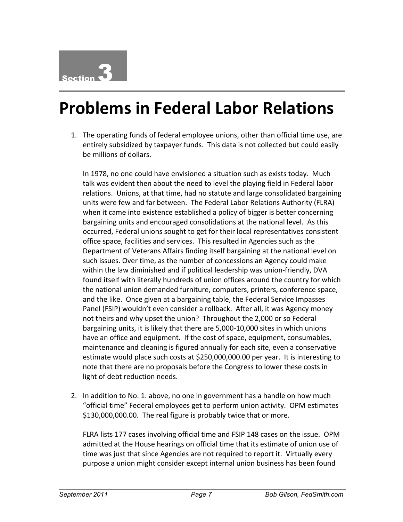#### **Problems in Federal Labor Relations**

1. The operating funds of federal employee unions, other than official time use, are entirely subsidized by taxpayer funds. This data is not collected but could easily be millions of dollars.

In 1978, no one could have envisioned a situation such as exists today. Much talk was evident then about the need to level the playing field in Federal labor relations. Unions, at that time, had no statute and large consolidated bargaining units were few and far between. The Federal Labor Relations Authority (FLRA) when it came into existence established a policy of bigger is better concerning bargaining units and encouraged consolidations at the national level. As this occurred, Federal unions sought to get for their local representatives consistent office space, facilities and services. This resulted in Agencies such as the Department of Veterans Affairs finding itself bargaining at the national level on such issues. Over time, as the number of concessions an Agency could make within the law diminished and if political leadership was union-friendly, DVA found itself with literally hundreds of union offices around the country for which the national union demanded furniture, computers, printers, conference space, and the like. Once given at a bargaining table, the Federal Service Impasses Panel (FSIP) wouldn't even consider a rollback. After all, it was Agency money not theirs and why upset the union? Throughout the 2,000 or so Federal bargaining units, it is likely that there are 5,000-10,000 sites in which unions have an office and equipment. If the cost of space, equipment, consumables, maintenance and cleaning is figured annually for each site, even a conservative estimate would place such costs at \$250,000,000.00 per year. It is interesting to note that there are no proposals before the Congress to lower these costs in light of debt reduction needs.

2. In addition to No. 1. above, no one in government has a handle on how much " official time" Federal employees get to perform union activity. OPM estimates \$130,000,000.00. The real figure is probably twice that or more.

FLRA lists 177 cases involving official time and FSIP 148 cases on the issue. OPM admitted at the House hearings on official time that its estimate of union use of time was just that since Agencies are not required to report it. Virtually every purpose a union might consider except internal union business has been found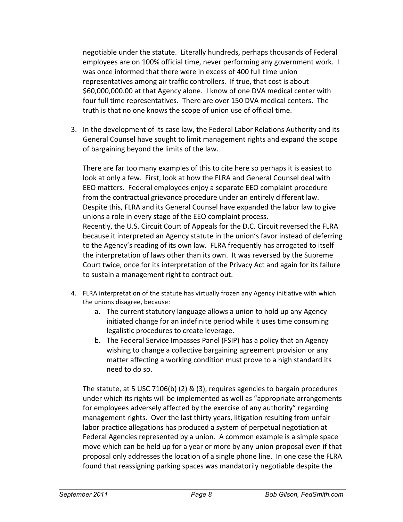negotiable under the statute. Literally hundreds, perhaps thousands of Federal employees are on 100% official time, never performing any government work. I was once informed that there were in excess of 400 full time union representatives among air traffic controllers. If true, that cost is about \$60,000,000.00 at that Agency alone. I know of one DVA medical center with four full time representatives. There are over 150 DVA medical centers. The truth is that no one knows the scope of union use of official time.

3. In the development of its case law, the Federal Labor Relations Authority and its General Counsel have sought to limit management rights and expand the scope of bargaining beyond the limits of the law.

There are far too many examples of this to cite here so perhaps it is easiest to look at only a few. First, look at how the FLRA and General Counsel deal with EEO matters. Federal employees enjoy a separate EEO complaint procedure from the contractual grievance procedure under an entirely different law. Despite this, FLRA and its General Counsel have expanded the labor law to give unions a role in every stage of the EEO complaint process. Recently, the U.S. Circuit Court of Appeals for the D.C. Circuit reversed the FLRA because it interpreted an Agency statute in the union's favor instead of deferring to the Agency's reading of its own law. FLRA frequently has arrogated to itself the interpretation of laws other than its own. It was reversed by the Supreme Court twice, once for its interpretation of the Privacy Act and again for its failure to sustain a management right to contract out.

- 4. FLRA interpretation of the statute has virtually frozen any Agency initiative with which the unions disagree, because:
	- a. The current statutory language allows a union to hold up any Agency initiated change for an indefinite period while it uses time consuming legalistic procedures to create leverage.
	- b. The Federal Service Impasses Panel (FSIP) has a policy that an Agency wishing to change a collective bargaining agreement provision or any matter affecting a working condition must prove to a high standard its need to do so.

The statute, at 5 USC 7106(b) (2) & (3), requires agencies to bargain procedures under which its rights will be implemented as well as "appropriate arrangements for employees adversely affected by the exercise of any authority" regarding management rights. Over the last thirty years, litigation resulting from unfair labor practice allegations has produced a system of perpetual negotiation at Federal Agencies represented by a union. A common example is a simple space move which can be held up for a year or more by any union proposal even if that proposal only addresses the location of a single phone line. In one case the FLRA found that reassigning parking spaces was mandatorily negotiable despite the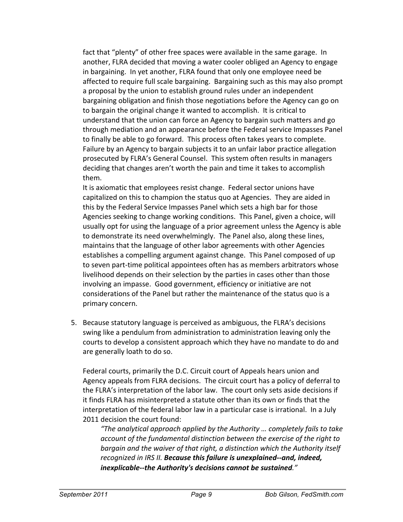fact that "plenty" of other free spaces were available in the same garage. In another, FLRA decided that moving a water cooler obliged an Agency to engage in bargaining. In yet another, FLRA found that only one employee need be affected to require full scale bargaining. Bargaining such as this may also prompt a proposal by the union to establish ground rules under an independent bargaining obligation and finish those negotiations before the Agency can go on to bargain the original change it wanted to accomplish. It is critical to understand that the union can force an Agency to bargain such matters and go through mediation and an appearance before the Federal service Impasses Panel to finally be able to go forward. This process often takes years to complete. Failure by an Agency to bargain subjects it to an unfair labor practice allegation prosecuted by FLRA's General Counsel. This system often results in managers deciding that changes aren't worth the pain and time it takes to accomplish them.

It is axiomatic that employees resist change. Federal sector unions have capitalized on this to champion the status quo at Agencies. They are aided in this by the Federal Service Impasses Panel which sets a high bar for those Agencies seeking to change working conditions. This Panel, given a choice, will usually opt for using the language of a prior agreement unless the Agency is able to demonstrate its need overwhelmingly. The Panel also, along these lines, maintains that the language of other labor agreements with other Agencies establishes a compelling argument against change. This Panel composed of up to seven part-time political appointees often has as members arbitrators whose livelihood depends on their selection by the parties in cases other than those involving an impasse. Good government, efficiency or initiative are not considerations of the Panel but rather the maintenance of the status quo is a primary concern.

5. Because statutory language is perceived as ambiguous, the FLRA's decisions swing like a pendulum from administration to administration leaving only the courts to develop a consistent approach which they have no mandate to do and are generally loath to do so.

Federal courts, primarily the D.C. Circuit court of Appeals hears union and Agency appeals from FLRA decisions. The circuit court has a policy of deferral to the FLRA's interpretation of the labor law. The court only sets aside decisions if it finds FLRA has misinterpreted a statute other than its own or finds that the interpretation of the federal labor law in a particular case is irrational. In a July 2011 decision the court found:

*"The%analytical%approach%applied%by%the%Authority%…%completely%fails%to%take%* account of the fundamental distinction between the exercise of the right to bargain and the waiver of that right, a distinction which the Authority itself recognized in IRS II. **Because this failure is unexplained--and, indeed,** *inexplicable--the Authority's decisions cannot be sustained."*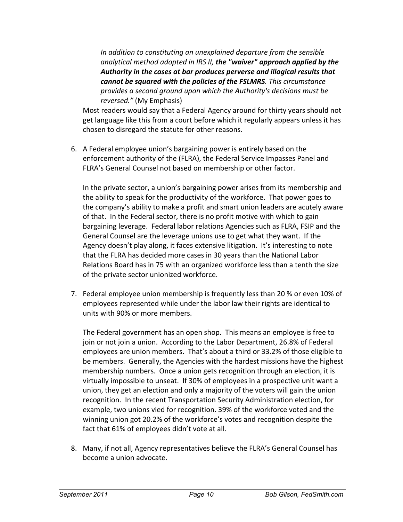In addition to constituting an unexplained departure from the sensible *analytical%method%adopted%in%IRS%II, the'"waiver"'approach'applied'by'the'* Authority in the cases at bar produces perverse and illogical results that **cannot be squared with the policies of the FSLMRS**. This circumstance *provides%a%second%ground%upon%which%the%Authority's%decisions%must%be% reversed."* (My Emphasis)

Most readers would say that a Federal Agency around for thirty years should not get language like this from a court before which it regularly appears unless it has chosen to disregard the statute for other reasons.

6. A Federal employee union's bargaining power is entirely based on the enforcement authority of the (FLRA), the Federal Service Impasses Panel and FLRA's General Counsel not based on membership or other factor.

In the private sector, a union's bargaining power arises from its membership and the ability to speak for the productivity of the workforce. That power goes to the company's ability to make a profit and smart union leaders are acutely aware of that. In the Federal sector, there is no profit motive with which to gain bargaining leverage. Federal labor relations Agencies such as FLRA, FSIP and the General Counsel are the leverage unions use to get what they want. If the Agency doesn't play along, it faces extensive litigation. It's interesting to note that the FLRA has decided more cases in 30 years than the National Labor Relations Board has in 75 with an organized workforce less than a tenth the size of the private sector unionized workforce.

7. Federal employee union membership is frequently less than 20 % or even 10% of employees represented while under the labor law their rights are identical to units with 90% or more members.

The Federal government has an open shop. This means an employee is free to join or not join a union. According to the Labor Department, 26.8% of Federal employees are union members. That's about a third or 33.2% of those eligible to be members. Generally, the Agencies with the hardest missions have the highest membership numbers. Once a union gets recognition through an election, it is virtually impossible to unseat. If 30% of employees in a prospective unit want a union, they get an election and only a majority of the voters will gain the union recognition. In the recent Transportation Security Administration election, for example, two unions vied for recognition. 39% of the workforce voted and the winning union got 20.2% of the workforce's votes and recognition despite the fact that 61% of employees didn't vote at all.

8. Many, if not all, Agency representatives believe the FLRA's General Counsel has become a union advocate.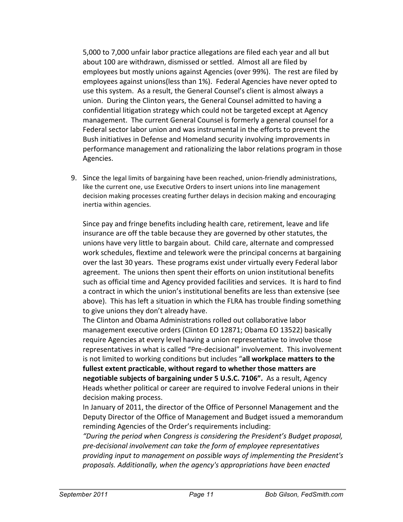5,000 to 7,000 unfair labor practice allegations are filed each year and all but about 100 are withdrawn, dismissed or settled. Almost all are filed by employees but mostly unions against Agencies (over 99%). The rest are filed by employees against unions(less than 1%). Federal Agencies have never opted to use this system. As a result, the General Counsel's client is almost always a union. During the Clinton years, the General Counsel admitted to having a confidential litigation strategy which could not be targeted except at Agency management. The current General Counsel is formerly a general counsel for a Federal sector labor union and was instrumental in the efforts to prevent the Bush initiatives in Defense and Homeland security involving improvements in performance management and rationalizing the labor relations program in those Agencies.

9. Since the legal limits of bargaining have been reached, union-friendly administrations, like the current one, use Executive Orders to insert unions into line management decision making processes creating further delays in decision making and encouraging inertia within agencies.

Since pay and fringe benefits including health care, retirement, leave and life insurance are off the table because they are governed by other statutes, the unions have very little to bargain about. Child care, alternate and compressed work schedules, flextime and telework were the principal concerns at bargaining over the last 30 years. These programs exist under virtually every Federal labor agreement. The unions then spent their efforts on union institutional benefits such as official time and Agency provided facilities and services. It is hard to find a contract in which the union's institutional benefits are less than extensive (see above). This has left a situation in which the FLRA has trouble finding something to give unions they don't already have.

The Clinton and Obama Administrations rolled out collaborative labor management executive orders (Clinton EO 12871; Obama EO 13522) basically require Agencies at every level having a union representative to involve those representatives in what is called "Pre-decisional" involvement. This involvement is not limited to working conditions but includes "all workplace matters to the fullest extent practicable, without regard to whether those matters are **negotiable subjects of bargaining under 5 U.S.C. 7106".** As a result, Agency Heads whether political or career are required to involve Federal unions in their decision making process.

In January of 2011, the director of the Office of Personnel Management and the Deputy Director of the Office of Management and Budget issued a memorandum reminding Agencies of the Order's requirements including:

*"During%the%period%when%Congress%is%considering%the%President's%Budget%proposal,%* pre-decisional involvement can take the form of employee representatives *providing%input%to%management%on%possible%ways%of%implementing%the%President's% proposals.%Additionally,%when%the%agency's%appropriations%have%been%enacted%*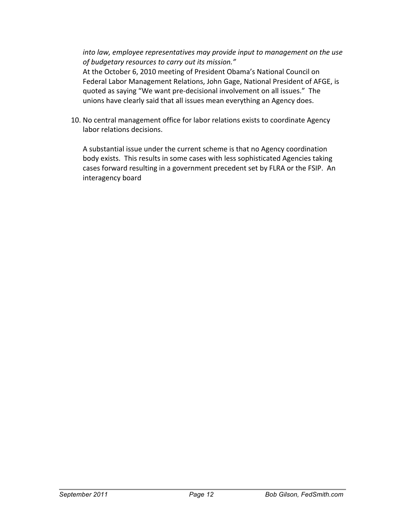*into law, employee representatives may provide input to management on the use* of budgetary resources to carry out its mission."

At the October 6, 2010 meeting of President Obama's National Council on Federal Labor Management Relations, John Gage, National President of AFGE, is quoted as saying "We want pre-decisional involvement on all issues." The unions have clearly said that all issues mean everything an Agency does.

10. No central management office for labor relations exists to coordinate Agency labor relations decisions.

A substantial issue under the current scheme is that no Agency coordination body exists. This results in some cases with less sophisticated Agencies taking cases forward resulting in a government precedent set by FLRA or the FSIP. An interagency board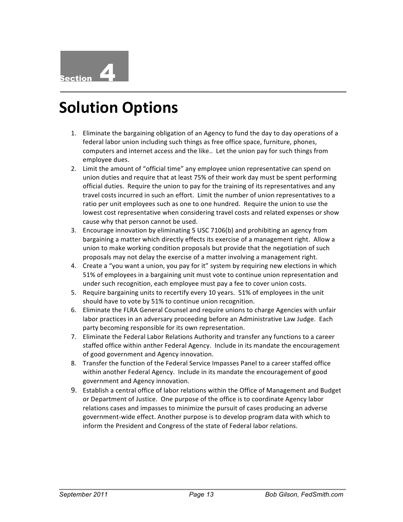#### **Solution Options**

- 1. Eliminate the bargaining obligation of an Agency to fund the day to day operations of a federal labor union including such things as free office space, furniture, phones, computers and internet access and the like.. Let the union pay for such things from employee dues.
- 2. Limit the amount of "official time" any employee union representative can spend on union duties and require that at least 75% of their work day must be spent performing official duties. Require the union to pay for the training of its representatives and any travel costs incurred in such an effort. Limit the number of union representatives to a ratio per unit employees such as one to one hundred. Require the union to use the lowest cost representative when considering travel costs and related expenses or show cause why that person cannot be used.
- 3. Encourage innovation by eliminating 5 USC 7106(b) and prohibiting an agency from bargaining a matter which directly effects its exercise of a management right. Allow a union to make working condition proposals but provide that the negotiation of such proposals may not delay the exercise of a matter involving a management right.
- 4. Create a "you want a union, you pay for it" system by requiring new elections in which 51% of employees in a bargaining unit must vote to continue union representation and under such recognition, each employee must pay a fee to cover union costs.
- 5. Require bargaining units to recertify every 10 years. 51% of employees in the unit should have to vote by 51% to continue union recognition.
- 6. Eliminate the FLRA General Counsel and require unions to charge Agencies with unfair labor practices in an adversary proceeding before an Administrative Law Judge. Each party becoming responsible for its own representation.
- 7. Eliminate the Federal Labor Relations Authority and transfer any functions to a career staffed office within anther Federal Agency. Include in its mandate the encouragement of good government and Agency innovation.
- 8. Transfer the function of the Federal Service Impasses Panel to a career staffed office within another Federal Agency. Include in its mandate the encouragement of good government and Agency innovation.
- 9. Establish a central office of labor relations within the Office of Management and Budget or Department of Justice. One purpose of the office is to coordinate Agency labor relations cases and impasses to minimize the pursuit of cases producing an adverse government-wide effect. Another purpose is to develop program data with which to inform the President and Congress of the state of Federal labor relations.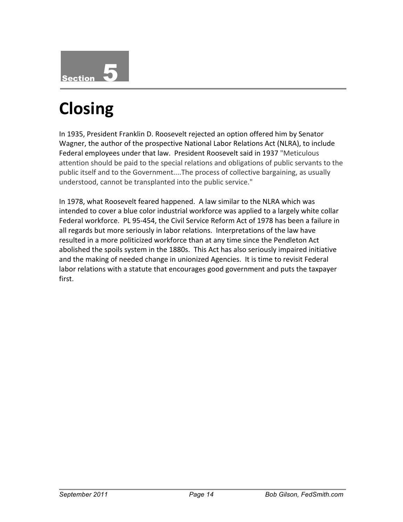

## **Closing**

In 1935, President Franklin D. Roosevelt rejected an option offered him by Senator Wagner, the author of the prospective National Labor Relations Act (NLRA), to include Federal employees under that law. President Roosevelt said in 1937 "Meticulous attention should be paid to the special relations and obligations of public servants to the public itself and to the Government....The process of collective bargaining, as usually understood, cannot be transplanted into the public service."

In 1978, what Roosevelt feared happened. A law similar to the NLRA which was intended to cover a blue color industrial workforce was applied to a largely white collar Federal workforce. PL 95-454, the Civil Service Reform Act of 1978 has been a failure in all regards but more seriously in labor relations. Interpretations of the law have resulted in a more politicized workforce than at any time since the Pendleton Act abolished the spoils system in the 1880s. This Act has also seriously impaired initiative and the making of needed change in unionized Agencies. It is time to revisit Federal labor relations with a statute that encourages good government and puts the taxpayer first.